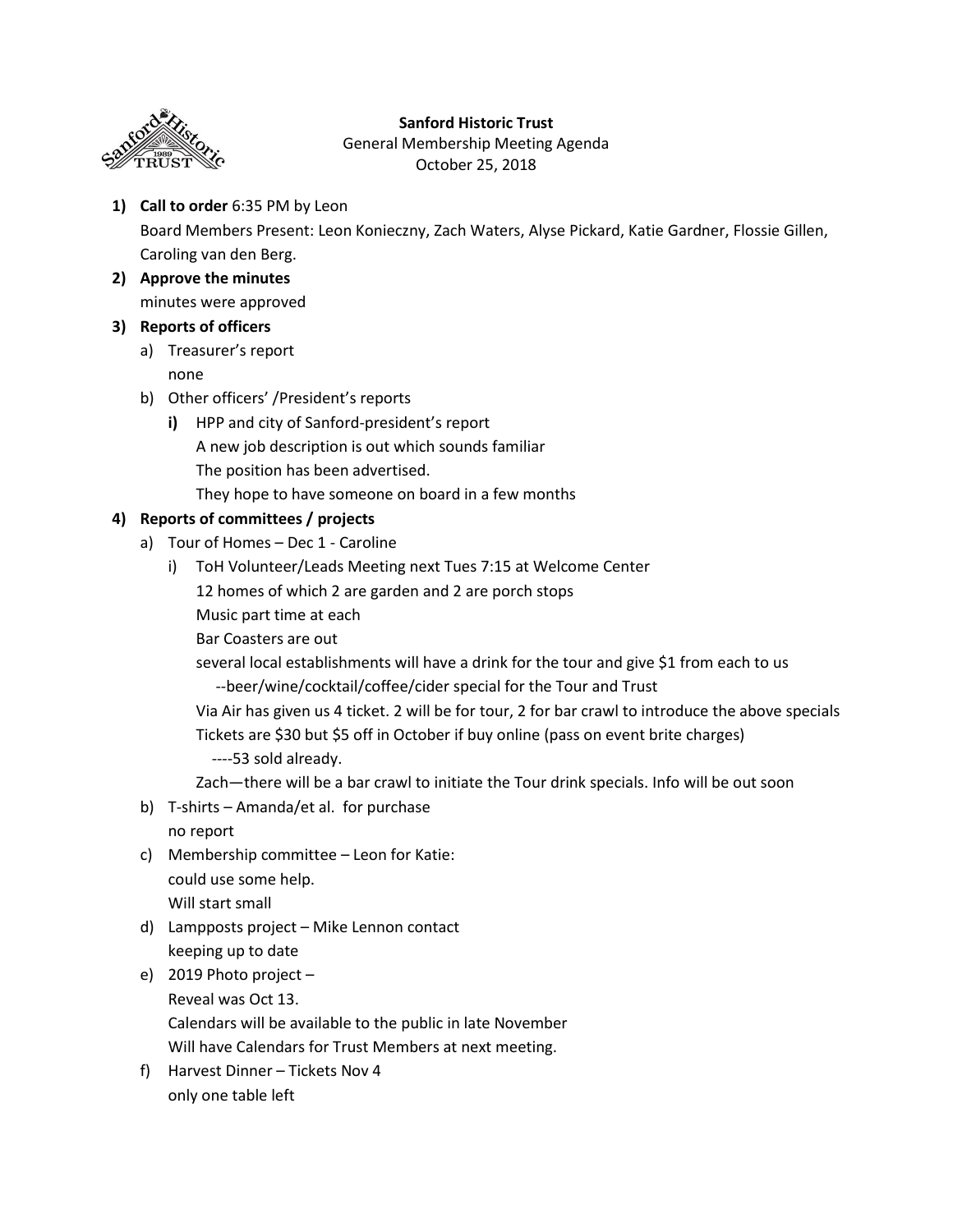

## **Sanford Historic Trust**

General Membership Meeting Agenda October 25, 2018

- **1) Call to order** 6:35 PM by Leon Board Members Present: Leon Konieczny, Zach Waters, Alyse Pickard, Katie Gardner, Flossie Gillen, Caroling van den Berg.
- **2) Approve the minutes** minutes were approved

## **3) Reports of officers**

- a) Treasurer's report none
- b) Other officers' /President's reports
	- **i)** HPP and city of Sanford-president's report A new job description is out which sounds familiar The position has been advertised. They hope to have someone on board in a few months

## **4) Reports of committees / projects**

- a) Tour of Homes Dec 1 Caroline
	- i) ToH Volunteer/Leads Meeting next Tues 7:15 at Welcome Center
		- 12 homes of which 2 are garden and 2 are porch stops
		- Music part time at each
		- Bar Coasters are out

several local establishments will have a drink for the tour and give \$1 from each to us --beer/wine/cocktail/coffee/cider special for the Tour and Trust

Via Air has given us 4 ticket. 2 will be for tour, 2 for bar crawl to introduce the above specials Tickets are \$30 but \$5 off in October if buy online (pass on event brite charges)

----53 sold already.

Zach—there will be a bar crawl to initiate the Tour drink specials. Info will be out soon

b) T-shirts – Amanda/et al. for purchase

no report

c) Membership committee – Leon for Katie: could use some help.

Will start small

- d) Lampposts project Mike Lennon contact keeping up to date
- e) 2019 Photo project –

Reveal was Oct 13.

Calendars will be available to the public in late November

Will have Calendars for Trust Members at next meeting.

f) Harvest Dinner – Tickets Nov 4 only one table left